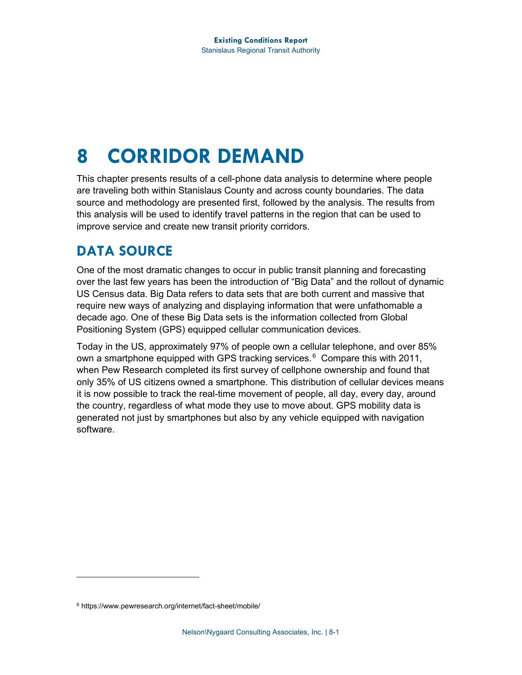# **8 CORRIDOR DEMAND**

This chapter presents results of a cell-phone data analysis to determine where people are traveling both within Stanislaus County and across county boundaries. The data source and methodology are presented first, followed by the analysis. The results from this analysis will be used to identify travel patterns in the region that can be used to improve service and create new transit priority corridors.

# **DATA SOURCE**

One of the most dramatic changes to occur in public transit planning and forecasting over the last few years has been the introduction of "Big Data" and the rollout of dynamic US Census data. Big Data refers to data sets that are both current and massive that require new ways of analyzing and displaying information that were unfathomable a decade ago. One of these Big Data sets is the information collected from Global Positioning System (GPS) equipped cellular communication devices.

Today in the US, approximately 97% of people own a cellular telephone, and over 85% own a smartphone equipped with GPS tracking services.<sup>[6](#page-0-0)</sup> Compare this with 2011, when Pew Research completed its first survey of cellphone ownership and found that only 35% of US citizens owned a smartphone. This distribution of cellular devices means it is now possible to track the real-time movement of people, all day, every day, around the country, regardless of what mode they use to move about. GPS mobility data is generated not just by smartphones but also by any vehicle equipped with navigation software.

<span id="page-0-0"></span><sup>6</sup> https://www.pewresearch.org/internet/fact-sheet/mobile/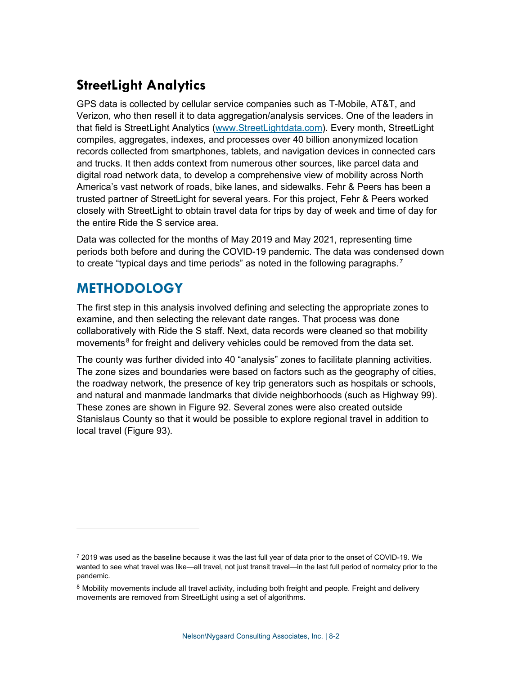# **StreetLight Analytics**

GPS data is collected by cellular service companies such as T-Mobile, AT&T, and Verizon, who then resell it to data aggregation/analysis services. One of the leaders in that field is StreetLight Analytics [\(www.StreetLightdata.com\)](http://www.streetlightdata.com/). Every month, StreetLight compiles, aggregates, indexes, and processes over 40 billion anonymized location records collected from smartphones, tablets, and navigation devices in connected cars and trucks. It then adds context from numerous other sources, like parcel data and digital road network data, to develop a comprehensive view of mobility across North America's vast network of roads, bike lanes, and sidewalks. Fehr & Peers has been a trusted partner of StreetLight for several years. For this project, Fehr & Peers worked closely with StreetLight to obtain travel data for trips by day of week and time of day for the entire Ride the S service area.

Data was collected for the months of May 2019 and May 2021, representing time periods both before and during the COVID-19 pandemic. The data was condensed down to create "typical days and time periods" as noted in the following paragraphs.<sup>[7](#page-1-0)</sup>

# **METHODOLOGY**

The first step in this analysis involved defining and selecting the appropriate zones to examine, and then selecting the relevant date ranges. That process was done collaboratively with Ride the S staff. Next, data records were cleaned so that mobility movements $<sup>8</sup>$  $<sup>8</sup>$  $<sup>8</sup>$  for freight and delivery vehicles could be removed from the data set.</sup>

The county was further divided into 40 "analysis" zones to facilitate planning activities. The zone sizes and boundaries were based on factors such as the geography of cities, the roadway network, the presence of key trip generators such as hospitals or schools, and natural and manmade landmarks that divide neighborhoods (such as Highway 99). These zones are shown in [Figure 92.](#page-2-0) Several zones were also created outside Stanislaus County so that it would be possible to explore regional travel in addition to local travel [\(Figure 93\)](#page-3-0).

<span id="page-1-0"></span> $72019$  was used as the baseline because it was the last full year of data prior to the onset of COVID-19. We wanted to see what travel was like—all travel, not just transit travel—in the last full period of normalcy prior to the pandemic.

<span id="page-1-1"></span> $8$  Mobility movements include all travel activity, including both freight and people. Freight and delivery movements are removed from StreetLight using a set of algorithms.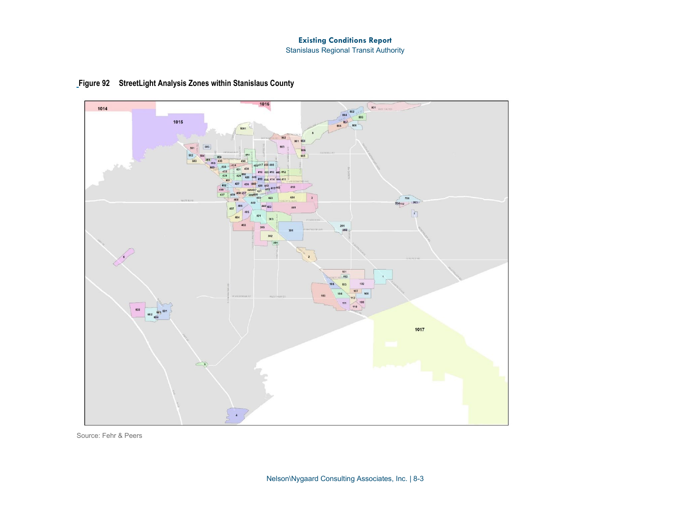#### **Existing Conditions Report**

Stanislaus Regional Transit Authority

<span id="page-2-0"></span>



Source: Fehr & Peers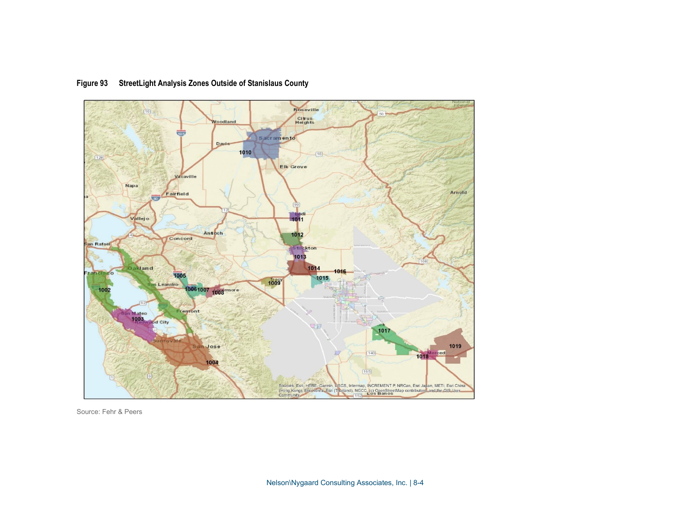<span id="page-3-0"></span>

### **Figure 93 StreetLight Analysis Zones Outside of Stanislaus County**

Source: Fehr & Peers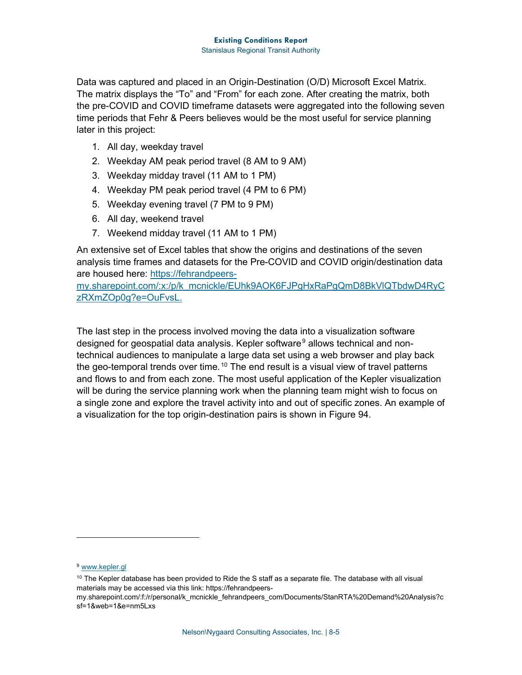Data was captured and placed in an Origin-Destination (O/D) Microsoft Excel Matrix. The matrix displays the "To" and "From" for each zone. After creating the matrix, both the pre-COVID and COVID timeframe datasets were aggregated into the following seven time periods that Fehr & Peers believes would be the most useful for service planning later in this project:

- 1. All day, weekday travel
- 2. Weekday AM peak period travel (8 AM to 9 AM)
- 3. Weekday midday travel (11 AM to 1 PM)
- 4. Weekday PM peak period travel (4 PM to 6 PM)
- 5. Weekday evening travel (7 PM to 9 PM)
- 6. All day, weekend travel
- 7. Weekend midday travel (11 AM to 1 PM)

An extensive set of Excel tables that show the origins and destinations of the seven analysis time frames and datasets for the Pre-COVID and COVID origin/destination data are housed here: [https://fehrandpeers-](https://fehrandpeers-my.sharepoint.com/:x:/p/k_mcnickle/EUhk9AOK6FJPgHxRaPgQmD8BkVlQTbdwD4RyCzRXmZOp0g?e=OuFvsL)

[my.sharepoint.com/:x:/p/k\\_mcnickle/EUhk9AOK6FJPgHxRaPgQmD8BkVlQTbdwD4RyC](https://fehrandpeers-my.sharepoint.com/:x:/p/k_mcnickle/EUhk9AOK6FJPgHxRaPgQmD8BkVlQTbdwD4RyCzRXmZOp0g?e=OuFvsL) [zRXmZOp0g?e=OuFvsL.](https://fehrandpeers-my.sharepoint.com/:x:/p/k_mcnickle/EUhk9AOK6FJPgHxRaPgQmD8BkVlQTbdwD4RyCzRXmZOp0g?e=OuFvsL)

The last step in the process involved moving the data into a visualization software designed for geospatial data analysis. Kepler software<sup>[9](#page-4-0)</sup> allows technical and nontechnical audiences to manipulate a large data set using a web browser and play back the geo-temporal trends over time.  $10$  The end result is a visual view of travel patterns and flows to and from each zone. The most useful application of the Kepler visualization will be during the service planning work when the planning team might wish to focus on a single zone and explore the travel activity into and out of specific zones. An example of a visualization for the top origin-destination pairs is shown in [Figure 94.](#page-5-0)

<span id="page-4-0"></span><sup>&</sup>lt;sup>9</sup> [www.kepler.gl](http://www.kepler.gl/)

<span id="page-4-1"></span> $10$  The Kepler database has been provided to Ride the S staff as a separate file. The database with all visual materials may be accessed via this link: https://fehrandpeers-

my.sharepoint.com/:f:/r/personal/k\_mcnickle\_fehrandpeers\_com/Documents/StanRTA%20Demand%20Analysis?c sf=1&web=1&e=nm5Lxs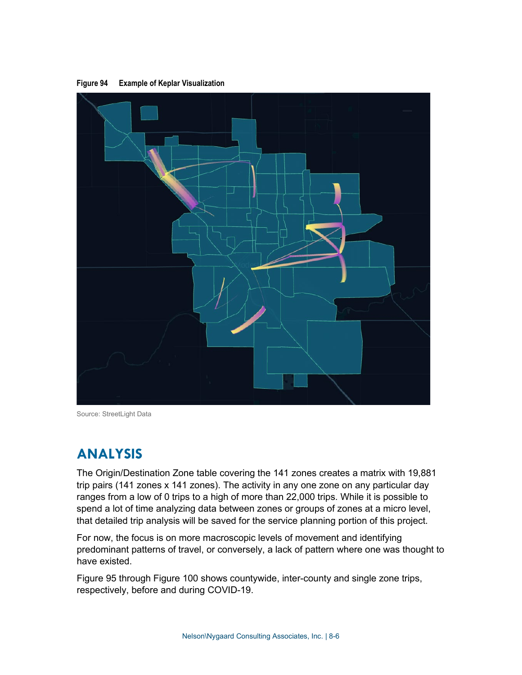

<span id="page-5-0"></span>**Figure 94 Example of Keplar Visualization** 

Source: StreetLight Data

# **ANALYSIS**

The Origin/Destination Zone table covering the 141 zones creates a matrix with 19,881 trip pairs (141 zones x 141 zones). The activity in any one zone on any particular day ranges from a low of 0 trips to a high of more than 22,000 trips. While it is possible to spend a lot of time analyzing data between zones or groups of zones at a micro level, that detailed trip analysis will be saved for the service planning portion of this project.

For now, the focus is on more macroscopic levels of movement and identifying predominant patterns of travel, or conversely, a lack of pattern where one was thought to have existed.

[Figure 95](#page-7-0) through [Figure 100](#page-9-0) shows countywide, inter-county and single zone trips, respectively, before and during COVID-19.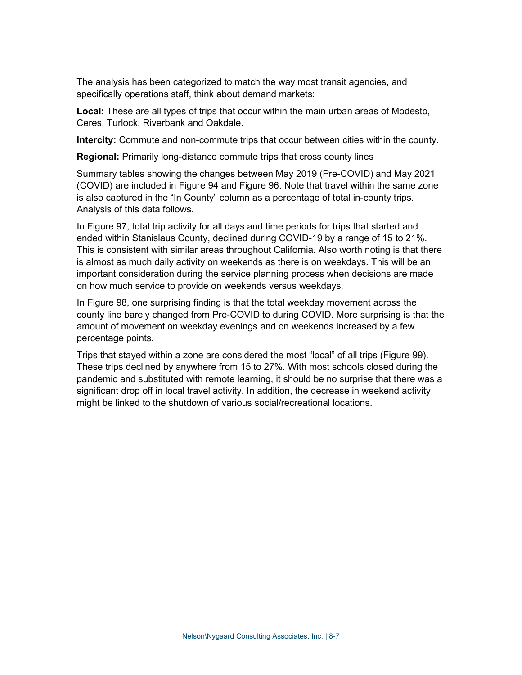The analysis has been categorized to match the way most transit agencies, and specifically operations staff, think about demand markets:

**Local:** These are all types of trips that occur within the main urban areas of Modesto, Ceres, Turlock, Riverbank and Oakdale.

**Intercity:** Commute and non-commute trips that occur between cities within the county.

**Regional:** Primarily long-distance commute trips that cross county lines

Summary tables showing the changes between May 2019 (Pre-COVID) and May 2021 (COVID) are included in Figure 94 and [Figure 96.](#page-8-0) Note that travel within the same zone is also captured in the "In County" column as a percentage of total in-county trips. Analysis of this data follows.

In [Figure 97,](#page-6-0) total trip activity for all days and time periods for trips that started and ended within Stanislaus County, declined during COVID-19 by a range of 15 to 21%. This is consistent with similar areas throughout California. Also worth noting is that there is almost as much daily activity on weekends as there is on weekdays. This will be an important consideration during the service planning process when decisions are made on how much service to provide on weekends versus weekdays.

In [Figure 98,](#page-8-1) one surprising finding is that the total weekday movement across the county line barely changed from Pre-COVID to during COVID. More surprising is that the amount of movement on weekday evenings and on weekends increased by a few percentage points.

<span id="page-6-0"></span>Trips that stayed within a zone are considered the most "local" of all trips [\(Figure 99\)](#page-9-0). These trips declined by anywhere from 15 to 27%. With most schools closed during the pandemic and substituted with remote learning, it should be no surprise that there was a significant drop off in local travel activity. In addition, the decrease in weekend activity might be linked to the shutdown of various social/recreational locations.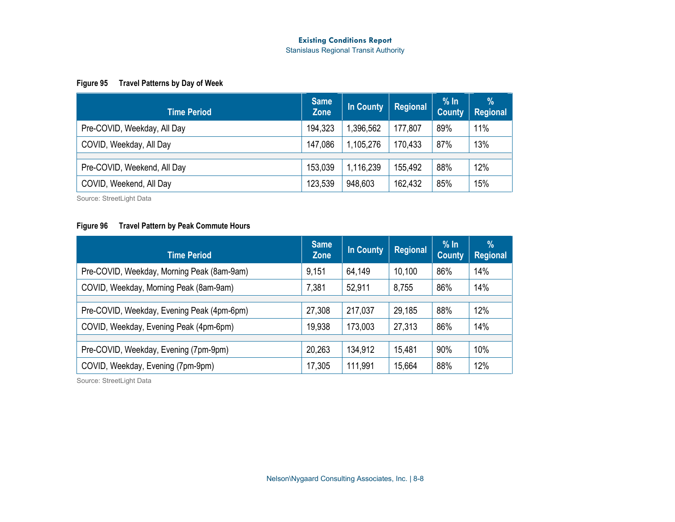#### **Existing Conditions Report**

Stanislaus Regional Transit Authority

#### **Figure 95 Travel Patterns by Day of Week**

| <b>Time Period</b>          | <b>Same</b><br><b>Zone</b> | In County | Regional | % In<br><b>County</b> | $\%$<br><b>Regional</b> |
|-----------------------------|----------------------------|-----------|----------|-----------------------|-------------------------|
| Pre-COVID, Weekday, All Day | 194,323                    | 396,562   | 177,807  | 89%                   | 11%                     |
| COVID, Weekday, All Day     | 147,086                    | 1,105,276 | 170,433  | 87%                   | 13%                     |
| Pre-COVID, Weekend, All Day | 153,039                    | 1,116,239 | 155,492  | 88%                   | 12%                     |
|                             |                            |           |          |                       |                         |
| COVID, Weekend, All Day     | 123,539                    | 948,603   | 162,432  | 85%                   | 15%                     |

Source: StreetLight Data

#### **Figure 96 Travel Pattern by Peak Commute Hours**

<span id="page-7-0"></span>

| <b>Time Period</b>                         | <b>Same</b><br><b>Zone</b> | <b>In County</b> | <b>Regional</b> | $%$ In<br><b>County</b> | $\%$<br><b>Regional</b> |
|--------------------------------------------|----------------------------|------------------|-----------------|-------------------------|-------------------------|
| Pre-COVID, Weekday, Morning Peak (8am-9am) | 9,151                      | 64,149           | 10,100          | 86%                     | 14%                     |
| COVID, Weekday, Morning Peak (8am-9am)     | 7,381                      | 52,911           | 8,755           | 86%                     | 14%                     |
|                                            |                            |                  |                 |                         |                         |
| Pre-COVID, Weekday, Evening Peak (4pm-6pm) | 27,308                     | 217,037          | 29,185          | 88%                     | 12%                     |
| COVID, Weekday, Evening Peak (4pm-6pm)     | 19,938                     | 173,003          | 27,313          | 86%                     | 14%                     |
|                                            |                            |                  |                 |                         |                         |
| Pre-COVID, Weekday, Evening (7pm-9pm)      | 20,263                     | 134,912          | 15,481          | 90%                     | 10%                     |
| COVID, Weekday, Evening (7pm-9pm)          | 17,305                     | 111,991          | 15,664          | 88%                     | 12%                     |

Source: StreetLight Data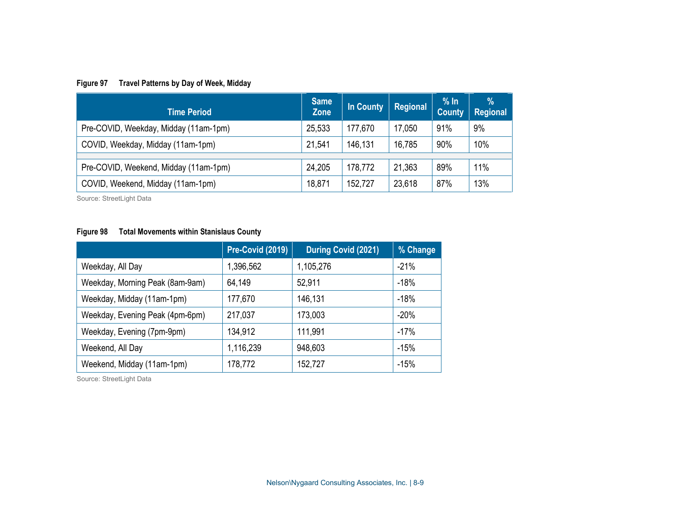### **Figure 97 Travel Patterns by Day of Week, Midday**

| <b>Time Period</b>                    | <b>Same</b><br><b>Zone</b> | In County | <b>Regional</b> | % In<br><b>County</b> | $\frac{9}{6}$<br><b>Regional</b> |
|---------------------------------------|----------------------------|-----------|-----------------|-----------------------|----------------------------------|
| Pre-COVID, Weekday, Midday (11am-1pm) | 25,533                     | 177,670   | 17,050          | 91%                   | 9%                               |
| COVID, Weekday, Midday (11am-1pm)     | 21,541                     | 146,131   | 16,785          | 90%                   | 10%                              |
|                                       |                            |           |                 |                       |                                  |
| Pre-COVID, Weekend, Midday (11am-1pm) | 24,205                     | 178,772   | 21,363          | 89%                   | 11%                              |
| COVID, Weekend, Midday (11am-1pm)     | 18,871                     | 152,727   | 23,618          | 87%                   | 13%                              |

Source: StreetLight Data

### <span id="page-8-0"></span>**Figure 98 Total Movements within Stanislaus County**

|                                 | Pre-Covid (2019) | <b>During Covid (2021)</b> | % Change |
|---------------------------------|------------------|----------------------------|----------|
| Weekday, All Day                | 1,396,562        | 1,105,276                  | $-21%$   |
| Weekday, Morning Peak (8am-9am) | 64,149           | 52,911                     | $-18%$   |
| Weekday, Midday (11am-1pm)      | 177,670          | 146,131                    | $-18%$   |
| Weekday, Evening Peak (4pm-6pm) | 217,037          | 173,003                    | $-20%$   |
| Weekday, Evening (7pm-9pm)      | 134,912          | 111,991                    | $-17%$   |
| Weekend, All Day                | 1,116,239        | 948,603                    | $-15%$   |
| Weekend, Midday (11am-1pm)      | 178,772          | 152,727                    | $-15%$   |

<span id="page-8-1"></span>Source: StreetLight Data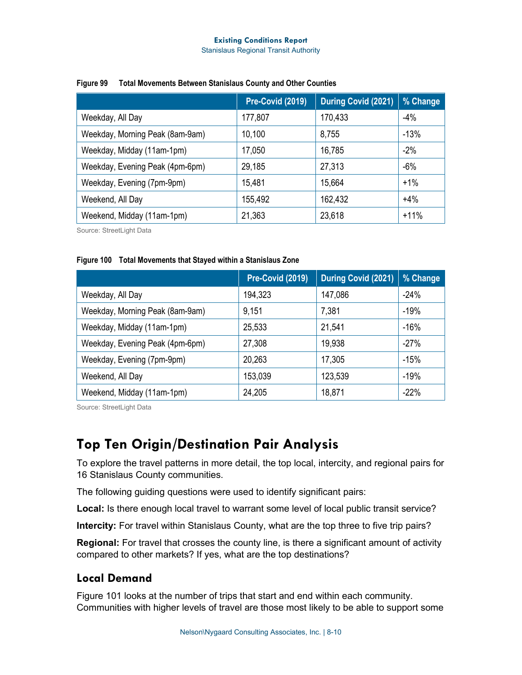### **Existing Conditions Report**

Stanislaus Regional Transit Authority

|                                 | Pre-Covid (2019) | During Covid (2021) | % Change |
|---------------------------------|------------------|---------------------|----------|
| Weekday, All Day                | 177,807          | 170,433             | $-4%$    |
| Weekday, Morning Peak (8am-9am) | 10,100           | 8,755               | $-13%$   |
| Weekday, Midday (11am-1pm)      | 17,050           | 16,785              | $-2%$    |
| Weekday, Evening Peak (4pm-6pm) | 29,185           | 27,313              | $-6%$    |
| Weekday, Evening (7pm-9pm)      | 15,481           | 15,664              | $+1%$    |
| Weekend, All Day                | 155,492          | 162,432             | $+4%$    |
| Weekend, Midday (11am-1pm)      | 21,363           | 23,618              | $+11%$   |

#### **Figure 99 Total Movements Between Stanislaus County and Other Counties**

Source: StreetLight Data

### <span id="page-9-0"></span>**Figure 100 Total Movements that Stayed within a Stanislaus Zone**

|                                 | Pre-Covid (2019) | During Covid (2021) | % Change |
|---------------------------------|------------------|---------------------|----------|
| Weekday, All Day                | 194,323          | 147,086             | $-24%$   |
| Weekday, Morning Peak (8am-9am) | 9,151            | 7,381               | $-19%$   |
| Weekday, Midday (11am-1pm)      | 25,533           | 21,541              | $-16%$   |
| Weekday, Evening Peak (4pm-6pm) | 27,308           | 19,938              | $-27%$   |
| Weekday, Evening (7pm-9pm)      | 20,263           | 17,305              | $-15%$   |
| Weekend, All Day                | 153,039          | 123,539             | $-19%$   |
| Weekend, Midday (11am-1pm)      | 24,205           | 18,871              | $-22%$   |

Source: StreetLight Data

# **Top Ten Origin/Destination Pair Analysis**

To explore the travel patterns in more detail, the top local, intercity, and regional pairs for 16 Stanislaus County communities.

The following guiding questions were used to identify significant pairs:

**Local:** Is there enough local travel to warrant some level of local public transit service?

**Intercity:** For travel within Stanislaus County, what are the top three to five trip pairs?

**Regional:** For travel that crosses the county line, is there a significant amount of activity compared to other markets? If yes, what are the top destinations?

### **Local Demand**

[Figure 101](#page-10-0) looks at the number of trips that start and end within each community. Communities with higher levels of travel are those most likely to be able to support some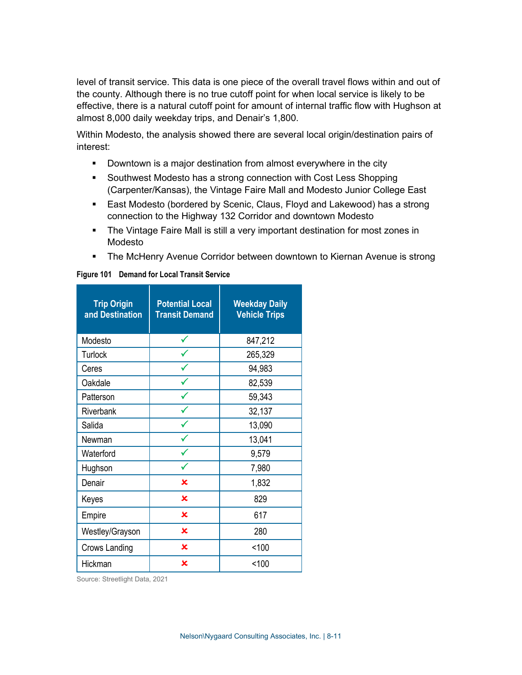level of transit service. This data is one piece of the overall travel flows within and out of the county. Although there is no true cutoff point for when local service is likely to be effective, there is a natural cutoff point for amount of internal traffic flow with Hughson at almost 8,000 daily weekday trips, and Denair's 1,800.

Within Modesto, the analysis showed there are several local origin/destination pairs of interest:

- **Downtown is a major destination from almost everywhere in the city**
- **Southwest Modesto has a strong connection with Cost Less Shopping** (Carpenter/Kansas), the Vintage Faire Mall and Modesto Junior College East
- East Modesto (bordered by Scenic, Claus, Floyd and Lakewood) has a strong connection to the Highway 132 Corridor and downtown Modesto
- The Vintage Faire Mall is still a very important destination for most zones in Modesto
- The McHenry Avenue Corridor between downtown to Kiernan Avenue is strong

| <b>Trip Origin</b><br>and Destination | <b>Potential Local</b><br><b>Transit Demand</b> | <b>Weekday Daily</b><br><b>Vehicle Trips</b> |
|---------------------------------------|-------------------------------------------------|----------------------------------------------|
| Modesto                               |                                                 | 847,212                                      |
| <b>Turlock</b>                        |                                                 | 265,329                                      |
| Ceres                                 |                                                 | 94,983                                       |
| Oakdale                               |                                                 | 82,539                                       |
| Patterson                             |                                                 | 59,343                                       |
| Riverbank                             |                                                 | 32,137                                       |
| Salida                                |                                                 | 13,090                                       |
| Newman                                |                                                 | 13,041                                       |
| Waterford                             |                                                 | 9,579                                        |
| Hughson                               |                                                 | 7,980                                        |
| Denair                                | ×                                               | 1,832                                        |
| Keyes                                 | ×                                               | 829                                          |
| Empire                                | $\overline{\mathbf{x}}$                         | 617                                          |
| Westley/Grayson                       | $\mathbf x$                                     | 280                                          |
| Crows Landing                         | $\mathbf x$                                     | < 100                                        |
| Hickman                               | ×                                               | < 100                                        |

### <span id="page-10-0"></span>**Figure 101 Demand for Local Transit Service**

Source: Streetlight Data, 2021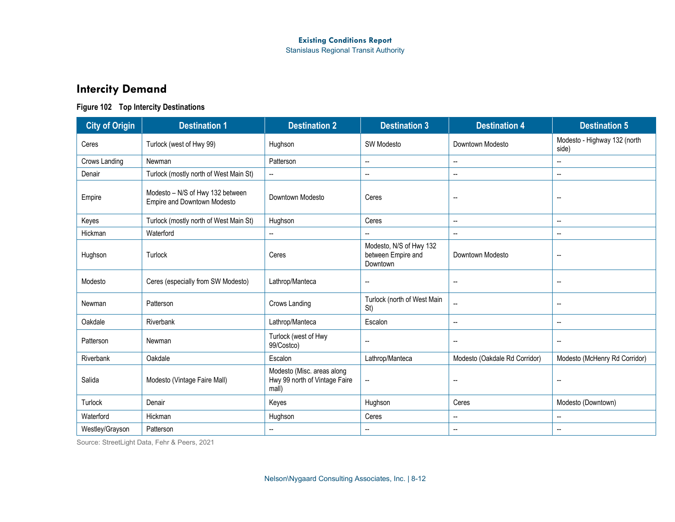# **Intercity Demand**

### **Figure 102 Top Intercity Destinations**

| <b>City of Origin</b> | <b>Destination 1</b>                                            | <b>Destination 2</b>                                                 | <b>Destination 3</b>                                      | <b>Destination 4</b>          | <b>Destination 5</b>                  |
|-----------------------|-----------------------------------------------------------------|----------------------------------------------------------------------|-----------------------------------------------------------|-------------------------------|---------------------------------------|
| Ceres                 | Turlock (west of Hwy 99)                                        | Hughson                                                              | <b>SW Modesto</b>                                         | Downtown Modesto              | Modesto - Highway 132 (north<br>side) |
| Crows Landing         | Newman                                                          | Patterson                                                            | $\overline{\phantom{a}}$                                  | $\overline{\phantom{a}}$      | $\overline{\phantom{a}}$              |
| Denair                | Turlock (mostly north of West Main St)                          | --                                                                   | $\overline{\phantom{a}}$                                  | $\overline{\phantom{a}}$      | $\overline{\phantom{a}}$              |
| Empire                | Modesto - N/S of Hwy 132 between<br>Empire and Downtown Modesto | Downtown Modesto                                                     | Ceres                                                     | $\overline{\phantom{a}}$      | $\overline{\phantom{a}}$              |
| Keyes                 | Turlock (mostly north of West Main St)                          | Hughson                                                              | Ceres                                                     | $\overline{\phantom{a}}$      | $\overline{\phantom{a}}$              |
| Hickman               | Waterford                                                       | -−                                                                   |                                                           | $\overline{\phantom{a}}$      | $\overline{\phantom{a}}$              |
| Hughson               | Turlock                                                         | Ceres                                                                | Modesto, N/S of Hwy 132<br>between Empire and<br>Downtown | Downtown Modesto              | $\overline{\phantom{a}}$              |
| Modesto               | Ceres (especially from SW Modesto)                              | Lathrop/Manteca                                                      | $\overline{\phantom{a}}$                                  | $\overline{a}$                | $\overline{\phantom{a}}$              |
| Newman                | Patterson                                                       | Crows Landing                                                        | Turlock (north of West Main<br>St)                        |                               | $\overline{\phantom{a}}$              |
| Oakdale               | Riverbank                                                       | Lathrop/Manteca                                                      | Escalon                                                   | $\overline{\phantom{a}}$      | $\overline{\phantom{a}}$              |
| Patterson             | Newman                                                          | Turlock (west of Hwy<br>99/Costco)                                   | $\overline{\phantom{a}}$                                  | $\overline{\phantom{a}}$      | $\overline{\phantom{a}}$              |
| Riverbank             | Oakdale                                                         | Escalon                                                              | Lathrop/Manteca                                           | Modesto (Oakdale Rd Corridor) | Modesto (McHenry Rd Corridor)         |
| Salida                | Modesto (Vintage Faire Mall)                                    | Modesto (Misc. areas along<br>Hwy 99 north of Vintage Faire<br>mall) | $\sim$                                                    | $\overline{a}$                | --                                    |
| Turlock               | Denair                                                          | Keyes                                                                | Hughson                                                   | Ceres                         | Modesto (Downtown)                    |
| Waterford             | Hickman                                                         | Hughson                                                              | Ceres                                                     | $\overline{\phantom{a}}$      | $\overline{\phantom{a}}$              |
| Westley/Grayson       | Patterson                                                       | --                                                                   | $\overline{\phantom{a}}$                                  | $\overline{\phantom{a}}$      | $\overline{\phantom{a}}$              |

Source: StreetLight Data, Fehr & Peers, 2021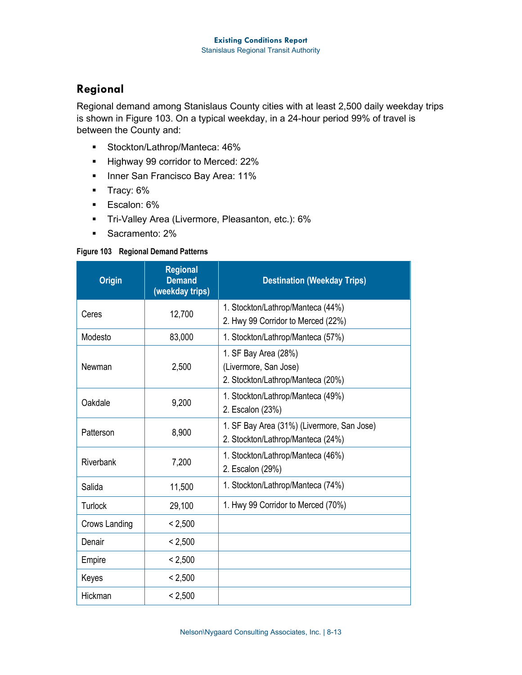### **Regional**

Regional demand among Stanislaus County cities with at least 2,500 daily weekday trips is shown in [Figure 103.](#page-12-0) On a typical weekday, in a 24-hour period 99% of travel is between the County and:

- **Stockton/Lathrop/Manteca: 46%**
- Highway 99 corridor to Merced: 22%
- **Inner San Francisco Bay Area: 11%**
- **Tracy: 6%**
- **Escalon: 6%**
- **Tri-Valley Area (Livermore, Pleasanton, etc.): 6%**
- **Sacramento: 2%**

### <span id="page-12-0"></span>**Figure 103 Regional Demand Patterns**

| <b>Origin</b> | <b>Regional</b><br><b>Demand</b><br>(weekday trips) | <b>Destination (Weekday Trips)</b>                                                 |
|---------------|-----------------------------------------------------|------------------------------------------------------------------------------------|
| Ceres         | 12,700                                              | 1. Stockton/Lathrop/Manteca (44%)<br>2. Hwy 99 Corridor to Merced (22%)            |
| Modesto       | 83,000                                              | 1. Stockton/Lathrop/Manteca (57%)                                                  |
| Newman        | 2,500                                               | 1. SF Bay Area (28%)<br>(Livermore, San Jose)<br>2. Stockton/Lathrop/Manteca (20%) |
| Oakdale       | 9,200                                               | 1. Stockton/Lathrop/Manteca (49%)<br>2. Escalon (23%)                              |
| Patterson     | 8,900                                               | 1. SF Bay Area (31%) (Livermore, San Jose)<br>2. Stockton/Lathrop/Manteca (24%)    |
| Riverbank     | 7,200                                               | 1. Stockton/Lathrop/Manteca (46%)<br>2. Escalon (29%)                              |
| Salida        | 11,500                                              | 1. Stockton/Lathrop/Manteca (74%)                                                  |
| Turlock       | 29,100                                              | 1. Hwy 99 Corridor to Merced (70%)                                                 |
| Crows Landing | < 2,500                                             |                                                                                    |
| Denair        | < 2,500                                             |                                                                                    |
| Empire        | < 2,500                                             |                                                                                    |
| Keyes         | < 2,500                                             |                                                                                    |
| Hickman       | < 2,500                                             |                                                                                    |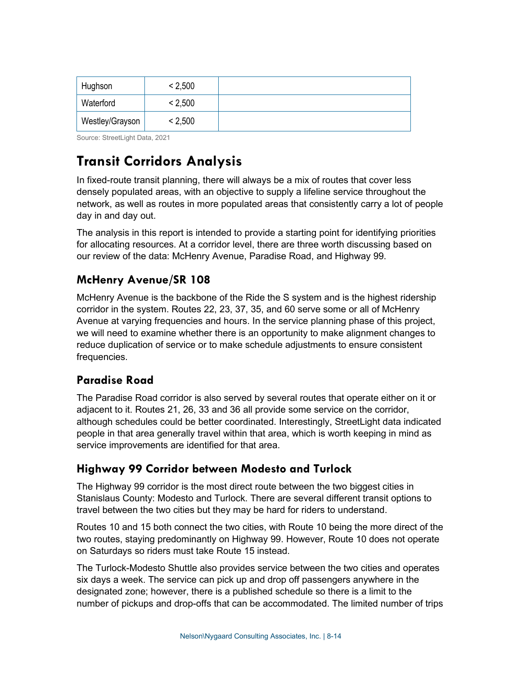| Hughson         | < 2,500 |  |
|-----------------|---------|--|
| Waterford       | < 2,500 |  |
| Westley/Grayson | < 2,500 |  |

Source: StreetLight Data, 2021

# **Transit Corridors Analysis**

In fixed-route transit planning, there will always be a mix of routes that cover less densely populated areas, with an objective to supply a lifeline service throughout the network, as well as routes in more populated areas that consistently carry a lot of people day in and day out.

The analysis in this report is intended to provide a starting point for identifying priorities for allocating resources. At a corridor level, there are three worth discussing based on our review of the data: McHenry Avenue, Paradise Road, and Highway 99.

# **McHenry Avenue/SR 108**

McHenry Avenue is the backbone of the Ride the S system and is the highest ridership corridor in the system. Routes 22, 23, 37, 35, and 60 serve some or all of McHenry Avenue at varying frequencies and hours. In the service planning phase of this project, we will need to examine whether there is an opportunity to make alignment changes to reduce duplication of service or to make schedule adjustments to ensure consistent frequencies.

## **Paradise Road**

The Paradise Road corridor is also served by several routes that operate either on it or adjacent to it. Routes 21, 26, 33 and 36 all provide some service on the corridor, although schedules could be better coordinated. Interestingly, StreetLight data indicated people in that area generally travel within that area, which is worth keeping in mind as service improvements are identified for that area.

## **Highway 99 Corridor between Modesto and Turlock**

The Highway 99 corridor is the most direct route between the two biggest cities in Stanislaus County: Modesto and Turlock. There are several different transit options to travel between the two cities but they may be hard for riders to understand.

Routes 10 and 15 both connect the two cities, with Route 10 being the more direct of the two routes, staying predominantly on Highway 99. However, Route 10 does not operate on Saturdays so riders must take Route 15 instead.

The Turlock-Modesto Shuttle also provides service between the two cities and operates six days a week. The service can pick up and drop off passengers anywhere in the designated zone; however, there is a published schedule so there is a limit to the number of pickups and drop-offs that can be accommodated. The limited number of trips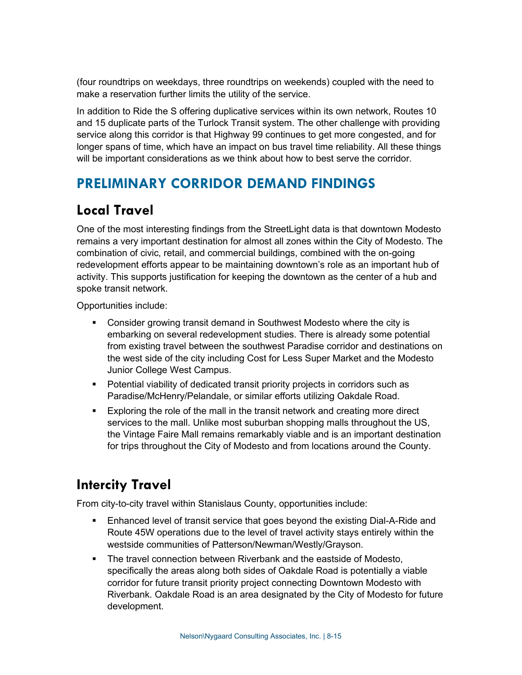(four roundtrips on weekdays, three roundtrips on weekends) coupled with the need to make a reservation further limits the utility of the service.

In addition to Ride the S offering duplicative services within its own network, Routes 10 and 15 duplicate parts of the Turlock Transit system. The other challenge with providing service along this corridor is that Highway 99 continues to get more congested, and for longer spans of time, which have an impact on bus travel time reliability. All these things will be important considerations as we think about how to best serve the corridor.

# **PRELIMINARY CORRIDOR DEMAND FINDINGS**

# **Local Travel**

One of the most interesting findings from the StreetLight data is that downtown Modesto remains a very important destination for almost all zones within the City of Modesto. The combination of civic, retail, and commercial buildings, combined with the on-going redevelopment efforts appear to be maintaining downtown's role as an important hub of activity. This supports justification for keeping the downtown as the center of a hub and spoke transit network.

Opportunities include:

- Consider growing transit demand in Southwest Modesto where the city is embarking on several redevelopment studies. There is already some potential from existing travel between the southwest Paradise corridor and destinations on the west side of the city including Cost for Less Super Market and the Modesto Junior College West Campus.
- **Potential viability of dedicated transit priority projects in corridors such as** Paradise/McHenry/Pelandale, or similar efforts utilizing Oakdale Road.
- Exploring the role of the mall in the transit network and creating more direct services to the mall. Unlike most suburban shopping malls throughout the US, the Vintage Faire Mall remains remarkably viable and is an important destination for trips throughout the City of Modesto and from locations around the County.

# **Intercity Travel**

From city-to-city travel within Stanislaus County, opportunities include:

- Enhanced level of transit service that goes beyond the existing Dial-A-Ride and Route 45W operations due to the level of travel activity stays entirely within the westside communities of Patterson/Newman/Westly/Grayson.
- **The travel connection between Riverbank and the eastside of Modesto,** specifically the areas along both sides of Oakdale Road is potentially a viable corridor for future transit priority project connecting Downtown Modesto with Riverbank. Oakdale Road is an area designated by the City of Modesto for future development.